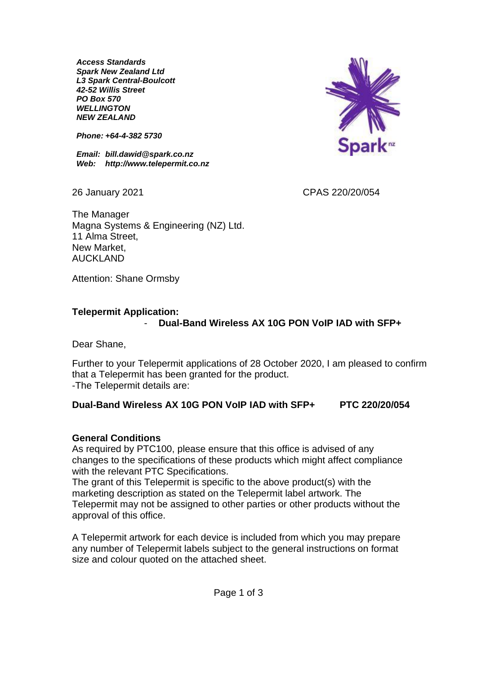*Access Standards Spark New Zealand Ltd L3 Spark Central-Boulcott 42-52 Willis Street PO Box 570 WELLINGTON NEW ZEALAND*

*Phone: +64-4-382 5730*

*Email: bill.dawid@spark.co.nz Web: http://www.telepermit.co.nz*



26 January 2021 CPAS 220/20/054

The Manager Magna Systems & Engineering (NZ) Ltd. 11 Alma Street, New Market, AUCKLAND

Attention: Shane Ormsby

#### **Telepermit Application:**

### - **Dual-Band Wireless AX 10G PON VoIP IAD with SFP+**

Dear Shane,

Further to your Telepermit applications of 28 October 2020, I am pleased to confirm that a Telepermit has been granted for the product. -The Telepermit details are:

## **Dual-Band Wireless AX 10G PON VoIP IAD with SFP+ PTC 220/20/054**

#### **General Conditions**

As required by PTC100, please ensure that this office is advised of any changes to the specifications of these products which might affect compliance with the relevant PTC Specifications.

The grant of this Telepermit is specific to the above product(s) with the marketing description as stated on the Telepermit label artwork. The Telepermit may not be assigned to other parties or other products without the approval of this office.

A Telepermit artwork for each device is included from which you may prepare any number of Telepermit labels subject to the general instructions on format size and colour quoted on the attached sheet.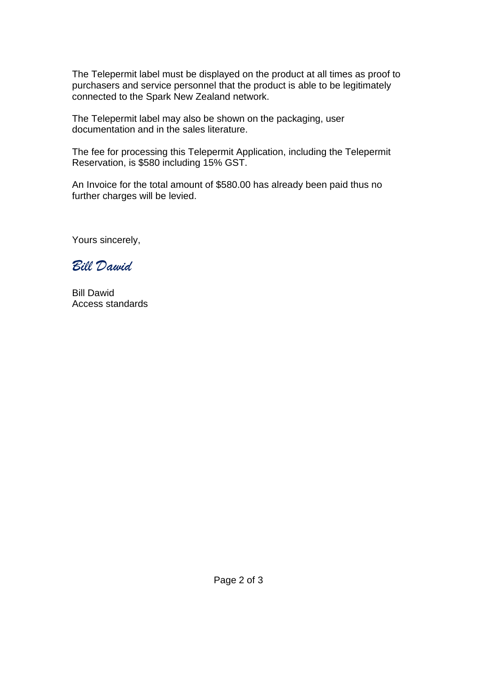The Telepermit label must be displayed on the product at all times as proof to purchasers and service personnel that the product is able to be legitimately connected to the Spark New Zealand network.

The Telepermit label may also be shown on the packaging, user documentation and in the sales literature.

The fee for processing this Telepermit Application, including the Telepermit Reservation, is \$580 including 15% GST.

An Invoice for the total amount of \$580.00 has already been paid thus no further charges will be levied.

Yours sincerely,

*Bill Dawid*

Bill Dawid Access standards